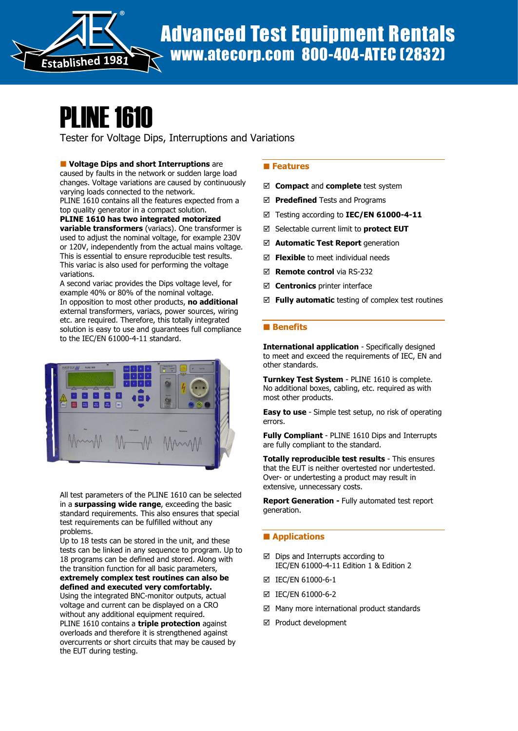

# PLINE 1610

Tester for Voltage Dips, Interruptions and Variations

**U** Voltage Dips and short Interruptions are

caused by faults in the network or sudden large load changes. Voltage variations are caused by continuously varying loads connected to the network.

PLINE 1610 contains all the features expected from a top quality generator in a compact solution.

PLINE 1610 has two integrated motorized **variable transformers** (variacs). One transformer is used to adjust the nominal voltage, for example 230V or 120V, independently from the actual mains voltage. This is essential to ensure reproducible test results. This variac is also used for performing the voltage variations.

A second variac provides the Dips voltage level, for example 40% or 80% of the nominal voltage. In opposition to most other products, no additional external transformers, variacs, power sources, wiring etc. are required. Therefore, this totally integrated solution is easy to use and guarantees full compliance to the IEC/EN 61000-4-11 standard.



All test parameters of the PLINE 1610 can be selected in a surpassing wide range, exceeding the basic standard requirements. This also ensures that special test requirements can be fulfilled without any problems.

Up to 18 tests can be stored in the unit, and these tests can be linked in any sequence to program. Up to 18 programs can be defined and stored. Along with the transition function for all basic parameters,

#### extremely complex test routines can also be defined and executed very comfortably.

Using the integrated BNC-monitor outputs, actual voltage and current can be displayed on a CRO without any additional equipment required. PLINE 1610 contains a triple protection against overloads and therefore it is strengthened against overcurrents or short circuits that may be caused by the EUT during testing.

## **Features**

- $\boxtimes$  Compact and complete test system
- $\boxtimes$  Predefined Tests and Programs
- ⊠ Testing according to IEC/EN 61000-4-11
- $\boxtimes$  Selectable current limit to **protect EUT**
- $\boxtimes$  Automatic Test Report generation
- $\boxtimes$  Flexible to meet individual needs
- **Ø Remote control** via RS-232
- $\boxtimes$  **Centronics** printer interface
- $\boxtimes$  Fully automatic testing of complex test routines

### **Benefits**

International application - Specifically designed to meet and exceed the requirements of IEC, EN and other standards.

Turnkey Test System - PLINE 1610 is complete. No additional boxes, cabling, etc. required as with most other products.

**Easy to use** - Simple test setup, no risk of operating errors.

Fully Compliant - PLINE 1610 Dips and Interrupts are fully compliant to the standard.

Totally reproducible test results - This ensures that the EUT is neither overtested nor undertested. Over- or undertesting a product may result in extensive, unnecessary costs.

Report Generation - Fully automated test report generation.

### **Applications**

- $\boxtimes$  Dips and Interrupts according to IEC/EN 61000-4-11 Edition 1 & Edition 2
- IEC/EN 61000-6-1
- IEC/EN 61000-6-2
- $\boxtimes$  Many more international product standards
- Product development